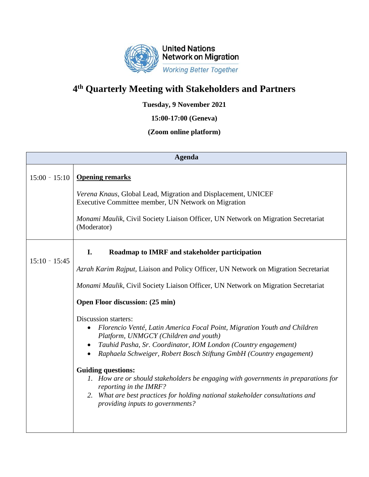

## **4 th Quarterly Meeting with Stakeholders and Partners**

**Tuesday, 9 November 2021**

**15:00-17:00 (Geneva)**

## **(Zoom online platform)**

| <b>Agenda</b>   |                                                                                                                      |
|-----------------|----------------------------------------------------------------------------------------------------------------------|
| $15:00 - 15:10$ | <b>Opening remarks</b>                                                                                               |
|                 | Verena Knaus, Global Lead, Migration and Displacement, UNICEF<br>Executive Committee member, UN Network on Migration |
|                 | Monami Maulik, Civil Society Liaison Officer, UN Network on Migration Secretariat<br>(Moderator)                     |
| $15:10 - 15:45$ | I.<br>Roadmap to IMRF and stakeholder participation                                                                  |
|                 | Azrah Karim Rajput, Liaison and Policy Officer, UN Network on Migration Secretariat                                  |
|                 | Monami Maulik, Civil Society Liaison Officer, UN Network on Migration Secretariat                                    |
|                 | Open Floor discussion: (25 min)                                                                                      |
|                 | Discussion starters:                                                                                                 |
|                 | Florencio Venté, Latin America Focal Point, Migration Youth and Children<br>Platform, UNMGCY (Children and youth)    |
|                 | Tauhid Pasha, Sr. Coordinator, IOM London (Country engagement)<br>$\bullet$                                          |
|                 | Raphaela Schweiger, Robert Bosch Stiftung GmbH (Country engagement)                                                  |
|                 | <b>Guiding questions:</b>                                                                                            |
|                 | 1. How are or should stakeholders be engaging with governments in preparations for<br>reporting in the IMRF?         |
|                 | 2. What are best practices for holding national stakeholder consultations and<br>providing inputs to governments?    |
|                 |                                                                                                                      |